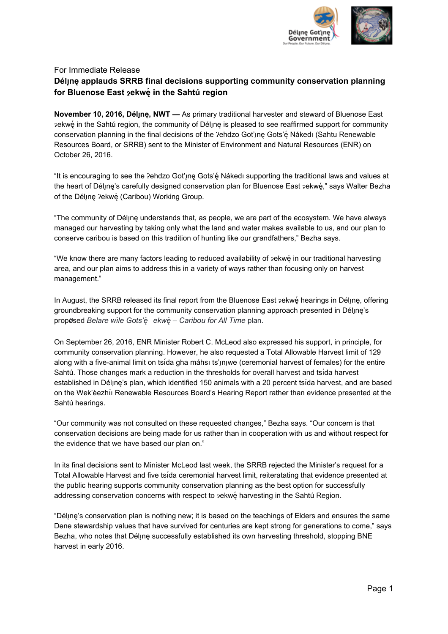

## For Immediate Release **Délı**̨**nę applauds SRRB final decisions supporting community conservation planning for Bluenose East** ɂ**ekwę́ in the Sahtú region**

**November 10, 2016, Délı**̨**nę, NWT —** As primary traditional harvester and steward of Bluenose East ɂekwę́ in the Sahtú region, the community of Délı̨nę is pleased to see reaffirmed support for community conservation planning in the final decisions of the ?ehdzo Got'ıne Gots'e Nakedı (Sahtu Renewable Resources Board, or SRRB) sent to the Minister of Environment and Natural Resources (ENR) on October 26, 2016.

"It is encouraging to see the Ɂehdzo Got'ı̨nę Gots'ę́ Nákedı supporting the traditional laws and values at the heart of Déline's carefully designed conservation plan for Bluenose East 2ekwé," says Walter Bezha of the Déline ?ekwé (Caribou) Working Group.

"The community of Délı̨nę understands that, as people, we are part of the ecosystem. We have always managed our harvesting by taking only what the land and water makes available to us, and our plan to conserve caribou is based on this tradition of hunting like our grandfathers," Bezha says.

"We know there are many factors leading to reduced availability of ɂekwę́ in our traditional harvesting area, and our plan aims to address this in a variety of ways rather than focusing only on harvest management."

In August, the SRRB released its final report from the Bluenose East  $z$ ekwé hearings in Délune, offering groundbreaking support for the community conservation planning approach presented in Délune's proposed <sup>Ɂ</sup> *Belare wı́le Gots'ę́ ekwę́ – Caribou for All Time* plan.

On September 26, 2016, ENR Minister Robert C. McLeod also expressed his support, in principle, for community conservation planning. However, he also requested a Total Allowable Harvest limit of 129 along with a five-animal limit on tsida gha máhsı ts'ınıwe (ceremonial harvest of females) for the entire Sahtú. Those changes mark a reduction in the thresholds for overall harvest and tsı́da harvest established in Délune's plan, which identified 150 animals with a 20 percent tsida harvest, and are based on the Wek'èezhıı Renewable Resources Board's Hearing Report rather than evidence presented at the ̀ Sahtú hearings.

"Our community was not consulted on these requested changes," Bezha says. "Our concern is that conservation decisions are being made for us rather than in cooperation with us and without respect for the evidence that we have based our plan on."

In its final decisions sent to Minister McLeod last week, the SRRB rejected the Minister's request for a Total Allowable Harvest and five tsı́da ceremonial harvest limit, reiteratating that evidence presented at the public hearing supports community conservation planning as the best option for successfully addressing conservation concerns with respect to 2ekwe harvesting in the Sahtú Region.

"Délı̨nę's conservation plan is nothing new; it is based on the teachings of Elders and ensures the same Dene stewardship values that have survived for centuries are kept strong for generations to come," says Bezha, who notes that Déline successfully established its own harvesting threshold, stopping BNE harvest in early 2016.